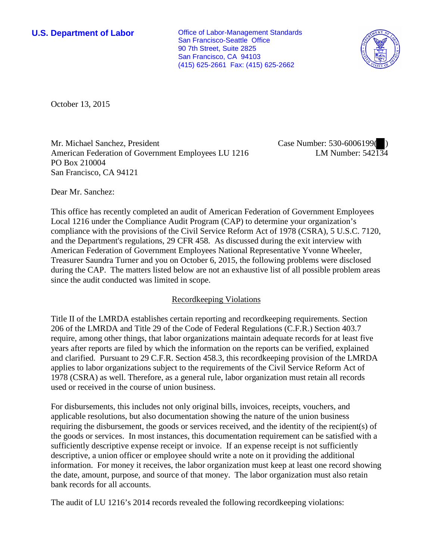**U.S. Department of Labor Conservative Conservative Conservative Conservative Conservative Conservative Conservative Conservative Conservative Conservative Conservative Conservative Conservative Conservative Conservative** San Francisco-Seattle Office 90 7th Street, Suite 2825 San Francisco, CA 94103 (415) 625-2661 Fax: (415) 625-2662



October 13, 2015

Mr. Michael Sanchez, President American Federation of Government Employees LU 1216 PO Box 210004 San Francisco, CA 94121

Case Number: 530-6006199( ) LM Number: 542134

Dear Mr. Sanchez:

This office has recently completed an audit of American Federation of Government Employees Local 1216 under the Compliance Audit Program (CAP) to determine your organization's compliance with the provisions of the Civil Service Reform Act of 1978 (CSRA), 5 U.S.C. 7120, and the Department's regulations, 29 CFR 458. As discussed during the exit interview with American Federation of Government Employees National Representative Yvonne Wheeler, Treasurer Saundra Turner and you on October 6, 2015, the following problems were disclosed during the CAP. The matters listed below are not an exhaustive list of all possible problem areas since the audit conducted was limited in scope.

## Recordkeeping Violations

Title II of the LMRDA establishes certain reporting and recordkeeping requirements. Section 206 of the LMRDA and Title 29 of the Code of Federal Regulations (C.F.R.) Section 403.7 require, among other things, that labor organizations maintain adequate records for at least five years after reports are filed by which the information on the reports can be verified, explained and clarified. Pursuant to 29 C.F.R. Section 458.3, this recordkeeping provision of the LMRDA applies to labor organizations subject to the requirements of the Civil Service Reform Act of 1978 (CSRA) as well. Therefore, as a general rule, labor organization must retain all records used or received in the course of union business.

For disbursements, this includes not only original bills, invoices, receipts, vouchers, and applicable resolutions, but also documentation showing the nature of the union business requiring the disbursement, the goods or services received, and the identity of the recipient(s) of the goods or services. In most instances, this documentation requirement can be satisfied with a sufficiently descriptive expense receipt or invoice. If an expense receipt is not sufficiently descriptive, a union officer or employee should write a note on it providing the additional information. For money it receives, the labor organization must keep at least one record showing the date, amount, purpose, and source of that money. The labor organization must also retain bank records for all accounts.

The audit of LU 1216's 2014 records revealed the following recordkeeping violations: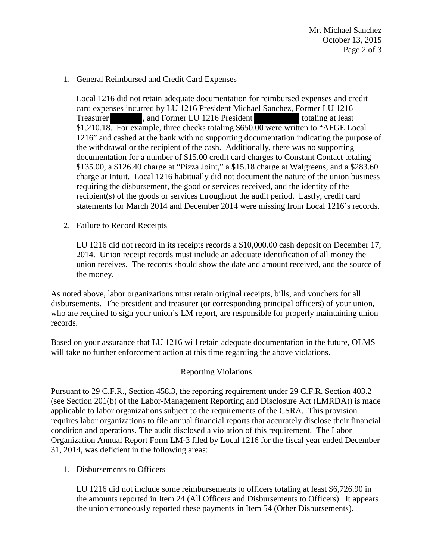Mr. Michael Sanchez October 13, 2015 Page 2 of 3

## 1. General Reimbursed and Credit Card Expenses

Local 1216 did not retain adequate documentation for reimbursed expenses and credit card expenses incurred by LU 1216 President Michael Sanchez, Former LU 1216 Treasurer and Former LU 1216 President totaling at least \$1,210.18. For example, three checks totaling \$650.00 were written to "AFGE Local" 1216" and cashed at the bank with no supporting documentation indicating the purpose of the withdrawal or the recipient of the cash. Additionally, there was no supporting documentation for a number of \$15.00 credit card charges to Constant Contact totaling \$135.00, a \$126.40 charge at "Pizza Joint," a \$15.18 charge at Walgreens, and a \$283.60 charge at Intuit. Local 1216 habitually did not document the nature of the union business requiring the disbursement, the good or services received, and the identity of the recipient(s) of the goods or services throughout the audit period. Lastly, credit card statements for March 2014 and December 2014 were missing from Local 1216's records.

2. Failure to Record Receipts

LU 1216 did not record in its receipts records a \$10,000.00 cash deposit on December 17, 2014. Union receipt records must include an adequate identification of all money the union receives. The records should show the date and amount received, and the source of the money.

As noted above, labor organizations must retain original receipts, bills, and vouchers for all disbursements. The president and treasurer (or corresponding principal officers) of your union, who are required to sign your union's LM report, are responsible for properly maintaining union records.

Based on your assurance that LU 1216 will retain adequate documentation in the future, OLMS will take no further enforcement action at this time regarding the above violations.

## Reporting Violations

Pursuant to 29 C.F.R., Section 458.3, the reporting requirement under 29 C.F.R. Section 403.2 (see Section 201(b) of the Labor-Management Reporting and Disclosure Act (LMRDA)) is made applicable to labor organizations subject to the requirements of the CSRA. This provision requires labor organizations to file annual financial reports that accurately disclose their financial condition and operations. The audit disclosed a violation of this requirement. The Labor Organization Annual Report Form LM-3 filed by Local 1216 for the fiscal year ended December 31, 2014, was deficient in the following areas:

1. Disbursements to Officers

LU 1216 did not include some reimbursements to officers totaling at least \$6,726.90 in the amounts reported in Item 24 (All Officers and Disbursements to Officers). It appears the union erroneously reported these payments in Item 54 (Other Disbursements).